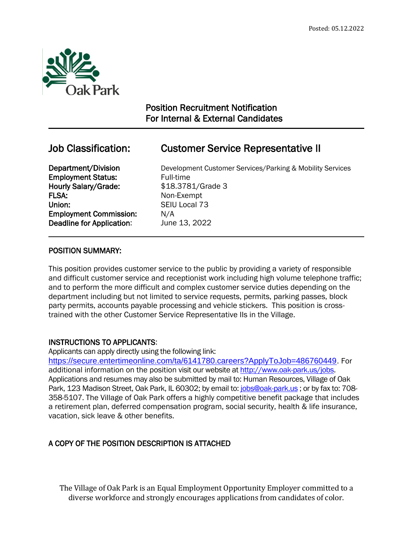

 $\overline{a}$ 

## Position Recruitment Notification For Internal & External Candidates

# Job Classification: Customer Service Representative II

**Employment Status:** Full-time Hourly Salary/Grade: \$18.3781/Grade 3 FLSA: Non-Exempt Union: SEIU Local 73 Employment Commission: N/A Deadline for Application: June 13, 2022

**Department/Division** Development Customer Services/Parking & Mobility Services

### POSITION SUMMARY:

This position provides customer service to the public by providing a variety of responsible and difficult customer service and receptionist work including high volume telephone traffic; and to perform the more difficult and complex customer service duties depending on the department including but not limited to service requests, permits, parking passes, block party permits, accounts payable processing and vehicle stickers. This position is crosstrained with the other Customer Service Representative IIs in the Village.

## INSTRUCTIONS TO APPLICANTS:

Applicants can apply directly using the following link:

[https://secure.entertimeonline.com/ta/6141780.careers?ApplyToJob=486760449.](https://secure.entertimeonline.com/ta/6141780.careers?ApplyToJob=486760449) For additional information on the position visit our website at [http://www.oak-park.us/j](http://www.oak-park.us/)obs. Applications and resumes may also be submitted by mail to: Human Resources, Village of Oak Park, 123 Madison Street, Oak Park, IL 60302; by email to: [jobs@oak-park.us](mailto:jobs@oak-park.us) ; or by fax to: 708- 358-5107. The Village of Oak Park offers a highly competitive benefit package that includes a retirement plan, deferred compensation program, social security, health & life insurance, vacation, sick leave & other benefits.

## A COPY OF THE POSITION DESCRIPTION IS ATTACHED

The Village of Oak Park is an Equal Employment Opportunity Employer committed to a diverse workforce and strongly encourages applications from candidates of color.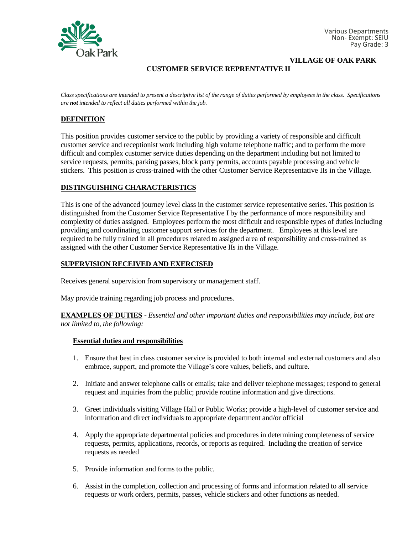

**VILLAGE OF OAK PARK**

## **CUSTOMER SERVICE REPRENTATIVE II**

*Class specifications are intended to present a descriptive list of the range of duties performed by employees in the class. Specifications are not intended to reflect all duties performed within the job.*

#### **DEFINITION**

This position provides customer service to the public by providing a variety of responsible and difficult customer service and receptionist work including high volume telephone traffic; and to perform the more difficult and complex customer service duties depending on the department including but not limited to service requests, permits, parking passes, block party permits, accounts payable processing and vehicle stickers. This position is cross-trained with the other Customer Service Representative IIs in the Village.

#### **DISTINGUISHING CHARACTERISTICS**

This is one of the advanced journey level class in the customer service representative series. This position is distinguished from the Customer Service Representative I by the performance of more responsibility and complexity of duties assigned. Employees perform the most difficult and responsible types of duties including providing and coordinating customer support services for the department. Employees at this level are required to be fully trained in all procedures related to assigned area of responsibility and cross-trained as assigned with the other Customer Service Representative IIs in the Village.

#### **SUPERVISION RECEIVED AND EXERCISED**

Receives general supervision from supervisory or management staff.

May provide training regarding job process and procedures.

**EXAMPLES OF DUTIES** - *Essential and other important duties and responsibilities may include, but are not limited to, the following:*

#### **Essential duties and responsibilities**

- 1. Ensure that best in class customer service is provided to both internal and external customers and also embrace, support, and promote the Village's core values, beliefs, and culture.
- 2. Initiate and answer telephone calls or emails; take and deliver telephone messages; respond to general request and inquiries from the public; provide routine information and give directions.
- 3. Greet individuals visiting Village Hall or Public Works; provide a high-level of customer service and information and direct individuals to appropriate department and/or official
- 4. Apply the appropriate departmental policies and procedures in determining completeness of service requests, permits, applications, records, or reports as required. Including the creation of service requests as needed
- 5. Provide information and forms to the public.
- 6. Assist in the completion, collection and processing of forms and information related to all service requests or work orders, permits, passes, vehicle stickers and other functions as needed.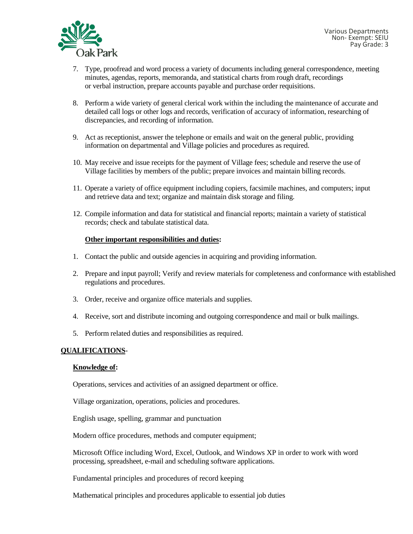

- 7. Type, proofread and word process a variety of documents including general correspondence, meeting minutes, agendas, reports, memoranda, and statistical charts from rough draft, recordings or verbal instruction, prepare accounts payable and purchase order requisitions.
- 8. Perform a wide variety of general clerical work within the including the maintenance of accurate and detailed call logs or other logs and records, verification of accuracy of information, researching of discrepancies, and recording of information.
- 9. Act as receptionist, answer the telephone or emails and wait on the general public, providing information on departmental and Village policies and procedures as required.
- 10. May receive and issue receipts for the payment of Village fees; schedule and reserve the use of Village facilities by members of the public; prepare invoices and maintain billing records.
- 11. Operate a variety of office equipment including copiers, facsimile machines, and computers; input and retrieve data and text; organize and maintain disk storage and filing.
- 12. Compile information and data for statistical and financial reports; maintain a variety of statistical records; check and tabulate statistical data.

#### **Other important responsibilities and duties:**

- 1. Contact the public and outside agencies in acquiring and providing information.
- 2. Prepare and input payroll; Verify and review materials for completeness and conformance with established regulations and procedures.
- 3. Order, receive and organize office materials and supplies.
- 4. Receive, sort and distribute incoming and outgoing correspondence and mail or bulk mailings.
- 5. Perform related duties and responsibilities as required.

#### **QUALIFICATIONS**-

#### **Knowledge of:**

Operations, services and activities of an assigned department or office.

Village organization, operations, policies and procedures.

English usage, spelling, grammar and punctuation

Modern office procedures, methods and computer equipment;

Microsoft Office including Word, Excel, Outlook, and Windows XP in order to work with word processing, spreadsheet, e-mail and scheduling software applications.

Fundamental principles and procedures of record keeping

Mathematical principles and procedures applicable to essential job duties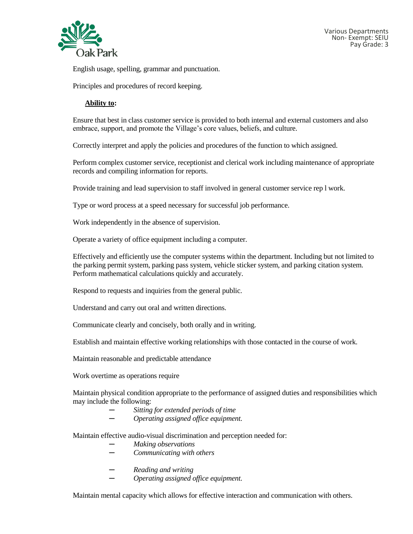

English usage, spelling, grammar and punctuation.

Principles and procedures of record keeping.

#### **Ability to:**

Ensure that best in class customer service is provided to both internal and external customers and also embrace, support, and promote the Village's core values, beliefs, and culture.

Correctly interpret and apply the policies and procedures of the function to which assigned.

Perform complex customer service, receptionist and clerical work including maintenance of appropriate records and compiling information for reports.

Provide training and lead supervision to staff involved in general customer service rep l work.

Type or word process at a speed necessary for successful job performance.

Work independently in the absence of supervision.

Operate a variety of office equipment including a computer.

Effectively and efficiently use the computer systems within the department. Including but not limited to the parking permit system, parking pass system, vehicle sticker system, and parking citation system. Perform mathematical calculations quickly and accurately.

Respond to requests and inquiries from the general public.

Understand and carry out oral and written directions.

Communicate clearly and concisely, both orally and in writing.

Establish and maintain effective working relationships with those contacted in the course of work.

Maintain reasonable and predictable attendance

Work overtime as operations require

Maintain physical condition appropriate to the performance of assigned duties and responsibilities which may include the following:

- *─ Sitting for extended periods of time*
- *─ Operating assigned office equipment.*

Maintain effective audio-visual discrimination and perception needed for:

*─ Making observations*

- *─ Communicating with others*
- *─ Reading and writing*
- *─ Operating assigned office equipment.*

Maintain mental capacity which allows for effective interaction and communication with others.